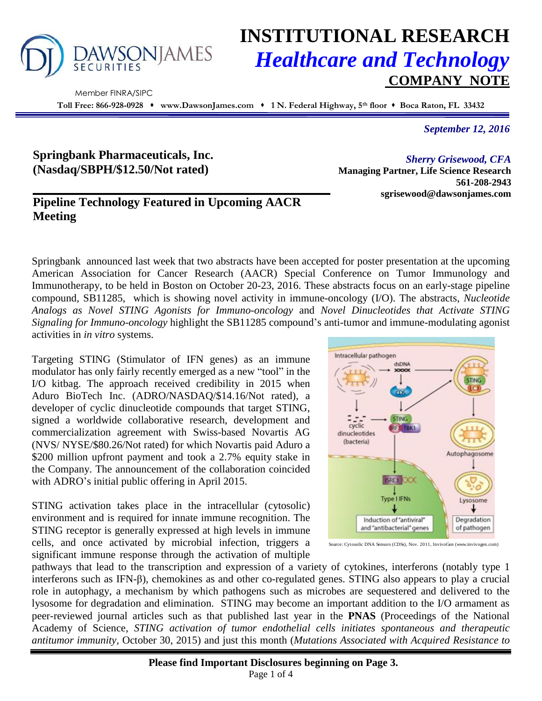

# **INSTITUTIONAL RESEARCH** *Healthcare and Technology* **COMPANY NOTE**

 Member FINRA/SIPC **Toll Free: 866-928-0928 www.DawsonJames.com 1 N. Federal Highway, 5th floor Boca Raton, FL 33432**

*September 12, 2016*

## **Springbank Pharmaceuticals, Inc. (Nasdaq/SBPH/\$12.50/Not rated)**

## **Pipeline Technology Featured in Upcoming AACR Meeting**

*Sherry Grisewood, CFA* **Managing Partner, Life Science Research 561-208-2943 sgrisewood@dawsonjames.com**

Springbank announced last week that two abstracts have been accepted for poster presentation at the upcoming American Association for Cancer Research (AACR) Special Conference on Tumor Immunology and Immunotherapy, to be held in Boston on October 20-23, 2016. These abstracts focus on an early-stage pipeline compound, SB11285, which is showing novel activity in immune-oncology (I/O). The abstracts, *Nucleotide Analogs as Novel STING Agonists for Immuno-oncology* and *Novel Dinucleotides that Activate STING Signaling for Immuno-oncology* highlight the SB11285 compound's anti-tumor and immune-modulating agonist activities in *in vitro* systems.

Targeting STING (Stimulator of IFN genes) as an immune modulator has only fairly recently emerged as a new "tool" in the I/O kitbag. The approach received credibility in 2015 when Aduro BioTech Inc. (ADRO/NASDAQ/\$14.16/Not rated), a developer of cyclic dinucleotide compounds that target STING, signed a worldwide collaborative research, development and commercialization agreement with Swiss-based Novartis AG (NVS/ NYSE/\$80.26/Not rated) for which Novartis paid Aduro a \$200 million upfront payment and took a 2.7% equity stake in the Company. The announcement of the collaboration coincided with ADRO's initial public offering in April 2015.

STING activation takes place in the intracellular (cytosolic) environment and is required for innate immune recognition. The STING receptor is generally expressed at high levels in immune cells, and once activated by microbial infection, triggers a significant immune response through the activation of multiple



Source: Cytosolic DNA Sensors (CDSs), Nov. 2011, InvivoGen (www.invivogen.com)

pathways that lead to the transcription and expression of a variety of cytokines, interferons (notably type 1 interferons such as IFN-β), chemokines as and other co-regulated genes. STING also appears to play a crucial role in autophagy, a mechanism by which pathogens such as microbes are sequestered and delivered to the lysosome for degradation and elimination. STING may become an important addition to the I/O armament as peer-reviewed journal articles such as that published last year in the **PNAS** (Proceedings of the National Academy of Science, *STING activation of tumor endothelial cells initiates spontaneous and therapeutic antitumor immunity,* October 30, 2015) and just this month (*Mutations Associated with Acquired Resistance to*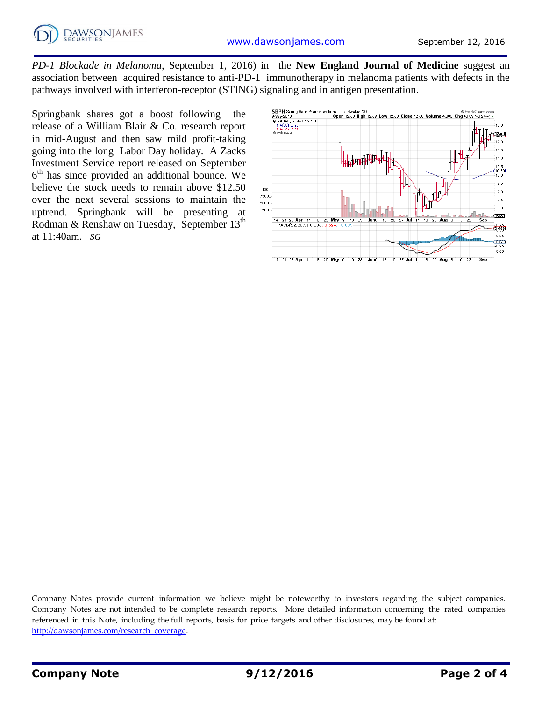*PD-1 Blockade in Melanoma*, September 1, 2016) in the **New England Journal of Medicine** suggest an association between acquired resistance to anti-PD-1 immunotherapy in melanoma patients with defects in the pathways involved with interferon-receptor (STING) signaling and in antigen presentation.

Springbank shares got a boost following the release of a William Blair & Co. research report in mid-August and then saw mild profit-taking going into the long Labor Day holiday. A Zacks Investment Service report released on September 6 th has since provided an additional bounce. We believe the stock needs to remain above \$12.50 over the next several sessions to maintain the uptrend. Springbank will be presenting at Rodman & Renshaw on Tuesday, September 13<sup>th</sup> at 11:40am. *SG*



Company Notes provide current information we believe might be noteworthy to investors regarding the subject companies. Company Notes are not intended to be complete research reports. More detailed information concerning the rated companies referenced in this Note, including the full reports, basis for price targets and other disclosures, may be found at: [http://dawsonjames.com/research\\_coverage.](http://dawsonjames.com/research_coverage)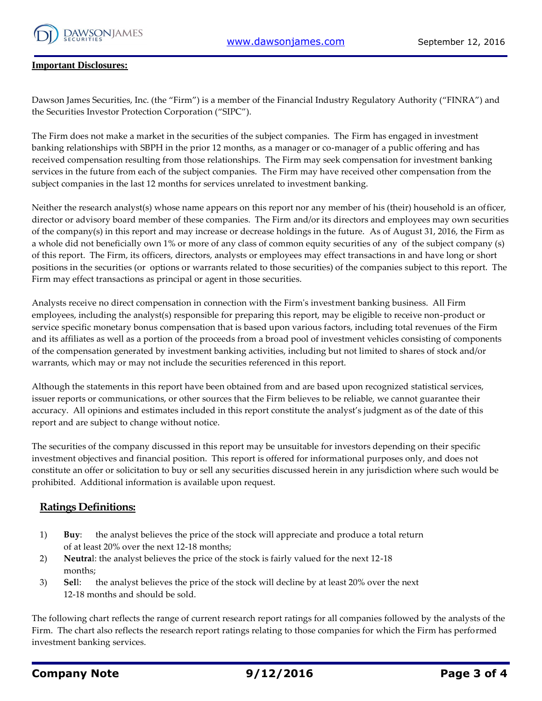

#### **Important Disclosures:**

Dawson James Securities, Inc. (the "Firm") is a member of the Financial Industry Regulatory Authority ("FINRA") and the Securities Investor Protection Corporation ("SIPC").

The Firm does not make a market in the securities of the subject companies. The Firm has engaged in investment banking relationships with SBPH in the prior 12 months, as a manager or co-manager of a public offering and has received compensation resulting from those relationships. The Firm may seek compensation for investment banking services in the future from each of the subject companies. The Firm may have received other compensation from the subject companies in the last 12 months for services unrelated to investment banking.

Neither the research analyst(s) whose name appears on this report nor any member of his (their) household is an officer, director or advisory board member of these companies. The Firm and/or its directors and employees may own securities of the company(s) in this report and may increase or decrease holdings in the future. As of August 31, 2016, the Firm as a whole did not beneficially own 1% or more of any class of common equity securities of any of the subject company (s) of this report. The Firm, its officers, directors, analysts or employees may effect transactions in and have long or short positions in the securities (or options or warrants related to those securities) of the companies subject to this report. The Firm may effect transactions as principal or agent in those securities.

Analysts receive no direct compensation in connection with the Firm's investment banking business. All Firm employees, including the analyst(s) responsible for preparing this report, may be eligible to receive non-product or service specific monetary bonus compensation that is based upon various factors, including total revenues of the Firm and its affiliates as well as a portion of the proceeds from a broad pool of investment vehicles consisting of components of the compensation generated by investment banking activities, including but not limited to shares of stock and/or warrants, which may or may not include the securities referenced in this report.

Although the statements in this report have been obtained from and are based upon recognized statistical services, issuer reports or communications, or other sources that the Firm believes to be reliable, we cannot guarantee their accuracy. All opinions and estimates included in this report constitute the analyst's judgment as of the date of this report and are subject to change without notice.

The securities of the company discussed in this report may be unsuitable for investors depending on their specific investment objectives and financial position. This report is offered for informational purposes only, and does not constitute an offer or solicitation to buy or sell any securities discussed herein in any jurisdiction where such would be prohibited. Additional information is available upon request.

#### **Ratings Definitions:**

- 1) **Buy**: the analyst believes the price of the stock will appreciate and produce a total return of at least 20% over the next 12-18 months;
- 2) **Neutra**l: the analyst believes the price of the stock is fairly valued for the next 12-18 months;
- 3) **Sel**l: the analyst believes the price of the stock will decline by at least 20% over the next 12-18 months and should be sold.

The following chart reflects the range of current research report ratings for all companies followed by the analysts of the Firm. The chart also reflects the research report ratings relating to those companies for which the Firm has performed investment banking services.